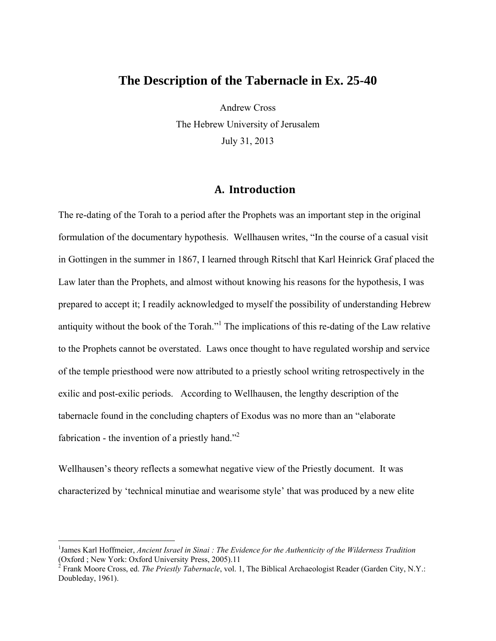# **The Description of the Tabernacle in Ex. 25-40**

Andrew Cross The Hebrew University of Jerusalem July 31, 2013

# **A. Introduction**

The re-dating of the Torah to a period after the Prophets was an important step in the original formulation of the documentary hypothesis. Wellhausen writes, "In the course of a casual visit in Gottingen in the summer in 1867, I learned through Ritschl that Karl Heinrick Graf placed the Law later than the Prophets, and almost without knowing his reasons for the hypothesis, I was prepared to accept it; I readily acknowledged to myself the possibility of understanding Hebrew antiquity without the book of the Torah."<sup>1</sup> The implications of this re-dating of the Law relative to the Prophets cannot be overstated. Laws once thought to have regulated worship and service of the temple priesthood were now attributed to a priestly school writing retrospectively in the exilic and post-exilic periods. According to Wellhausen, the lengthy description of the tabernacle found in the concluding chapters of Exodus was no more than an "elaborate fabrication - the invention of a priestly hand."<sup>2</sup>

Wellhausen's theory reflects a somewhat negative view of the Priestly document. It was characterized by 'technical minutiae and wearisome style' that was produced by a new elite

<sup>&</sup>lt;sup>1</sup>James Karl Hoffmeier, *Ancient Israel in Sinai : The Evidence for the Authenticity of the Wilderness Tradition* (Oxford ; New York: Oxford University Press, 2005).11 2 Frank Moore Cross, ed. *The Priestly Tabernacle*, vol. 1, The Biblical Archaeologist Reader (Garden City, N.Y.:

Doubleday, 1961).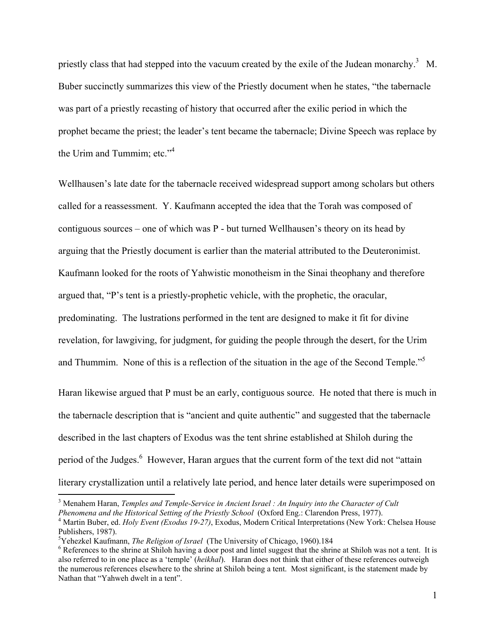priestly class that had stepped into the vacuum created by the exile of the Judean monarchy.<sup>3</sup> M. Buber succinctly summarizes this view of the Priestly document when he states, "the tabernacle was part of a priestly recasting of history that occurred after the exilic period in which the prophet became the priest; the leader's tent became the tabernacle; Divine Speech was replace by the Urim and Tummim; etc."<sup>4</sup>

Wellhausen's late date for the tabernacle received widespread support among scholars but others called for a reassessment. Y. Kaufmann accepted the idea that the Torah was composed of contiguous sources – one of which was P - but turned Wellhausen's theory on its head by arguing that the Priestly document is earlier than the material attributed to the Deuteronimist. Kaufmann looked for the roots of Yahwistic monotheism in the Sinai theophany and therefore argued that, "P's tent is a priestly-prophetic vehicle, with the prophetic, the oracular, predominating. The lustrations performed in the tent are designed to make it fit for divine revelation, for lawgiving, for judgment, for guiding the people through the desert, for the Urim and Thummim. None of this is a reflection of the situation in the age of the Second Temple."<sup>5</sup>

Haran likewise argued that P must be an early, contiguous source. He noted that there is much in the tabernacle description that is "ancient and quite authentic" and suggested that the tabernacle described in the last chapters of Exodus was the tent shrine established at Shiloh during the period of the Judges.<sup>6</sup> However, Haran argues that the current form of the text did not "attain literary crystallization until a relatively late period, and hence later details were superimposed on

1

<sup>&</sup>lt;sup>3</sup> Menahem Haran, *Temples and Temple-Service in Ancient Israel : An Inquiry into the Character of Cult Phenomena and the Historical Setting of the Priestly School* (Oxford Eng.: Clarendon Press, 1977). 4

<sup>&</sup>lt;sup>4</sup> Martin Buber, ed. *Holy Event (Exodus 19-27)*, Exodus, Modern Critical Interpretations (New York: Chelsea House Publishers, 1987).

<sup>&</sup>lt;sup>5</sup>Yehezkel Kaufmann, *The Religion of Israel* (The University of Chicago, 1960).184  $\frac{6}{5}$  Before next and linited suggest that the shring

<sup>&</sup>lt;sup>6</sup> References to the shrine at Shiloh having a door post and lintel suggest that the shrine at Shiloh was not a tent. It is also referred to in one place as a 'temple' (*heikhal*). Haran does not think that either of these references outweigh the numerous references elsewhere to the shrine at Shiloh being a tent. Most significant, is the statement made by Nathan that "Yahweh dwelt in a tent".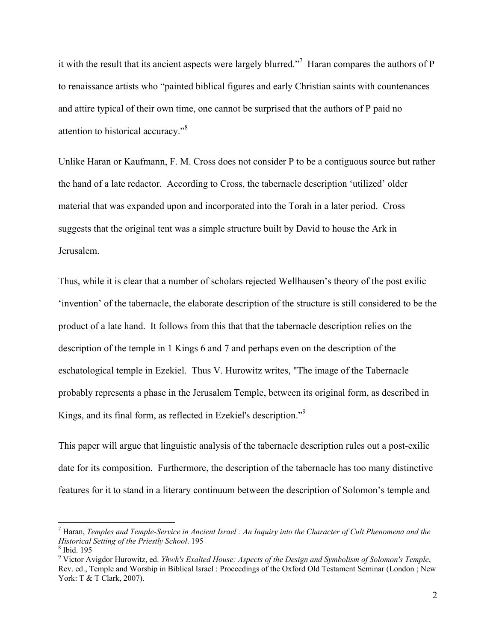it with the result that its ancient aspects were largely blurred."<sup>7</sup> Haran compares the authors of  $P$ to renaissance artists who "painted biblical figures and early Christian saints with countenances and attire typical of their own time, one cannot be surprised that the authors of P paid no attention to historical accuracy."<sup>8</sup>

Unlike Haran or Kaufmann, F. M. Cross does not consider P to be a contiguous source but rather the hand of a late redactor. According to Cross, the tabernacle description 'utilized' older material that was expanded upon and incorporated into the Torah in a later period. Cross suggests that the original tent was a simple structure built by David to house the Ark in Jerusalem.

Thus, while it is clear that a number of scholars rejected Wellhausen's theory of the post exilic 'invention' of the tabernacle, the elaborate description of the structure is still considered to be the product of a late hand. It follows from this that that the tabernacle description relies on the description of the temple in 1 Kings 6 and 7 and perhaps even on the description of the eschatological temple in Ezekiel. Thus V. Hurowitz writes, "The image of the Tabernacle probably represents a phase in the Jerusalem Temple, between its original form, as described in Kings, and its final form, as reflected in Ezekiel's description."<sup>9</sup>

This paper will argue that linguistic analysis of the tabernacle description rules out a post-exilic date for its composition. Furthermore, the description of the tabernacle has too many distinctive features for it to stand in a literary continuum between the description of Solomon's temple and

<sup>7</sup> Haran, *Temples and Temple-Service in Ancient Israel : An Inquiry into the Character of Cult Phenomena and the*  **Historical Setting of the Priestly School. 195** 

 $8$  Ibid. 195

<sup>9</sup> Victor Avigdor Hurowitz, ed. *Yhwh's Exalted House: Aspects of the Design and Symbolism of Solomon's Temple*, Rev. ed., Temple and Worship in Biblical Israel : Proceedings of the Oxford Old Testament Seminar (London ; New York: T & T Clark, 2007).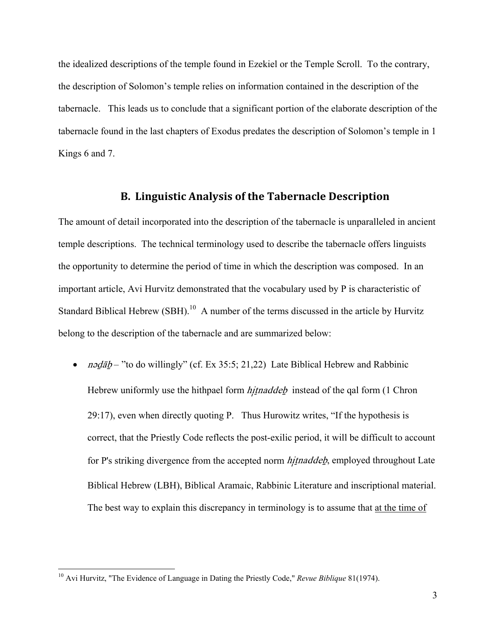the idealized descriptions of the temple found in Ezekiel or the Temple Scroll. To the contrary, the description of Solomon's temple relies on information contained in the description of the tabernacle. This leads us to conclude that a significant portion of the elaborate description of the tabernacle found in the last chapters of Exodus predates the description of Solomon's temple in 1 Kings 6 and 7.

# **B. Linguistic Analysis of the Tabernacle Description**

The amount of detail incorporated into the description of the tabernacle is unparalleled in ancient temple descriptions. The technical terminology used to describe the tabernacle offers linguists the opportunity to determine the period of time in which the description was composed. In an important article, Avi Hurvitz demonstrated that the vocabulary used by P is characteristic of Standard Biblical Hebrew (SBH).<sup>10</sup> A number of the terms discussed in the article by Hurvitz belong to the description of the tabernacle and are summarized below:

• *n*ədab – "to do willingly" (cf. Ex 35:5; 21,22) Late Biblical Hebrew and Rabbinic Hebrew uniformly use the hithpael form *hitnaddeb* instead of the qal form (1 Chron 29:17), even when directly quoting P. Thus Hurowitz writes, "If the hypothesis is correct, that the Priestly Code reflects the post-exilic period, it will be difficult to account for P's striking divergence from the accepted norm *hitnaddeb*, employed throughout Late Biblical Hebrew (LBH), Biblical Aramaic, Rabbinic Literature and inscriptional material. The best way to explain this discrepancy in terminology is to assume that at the time of

<sup>10</sup> Avi Hurvitz, "The Evidence of Language in Dating the Priestly Code," *Revue Biblique* 81(1974).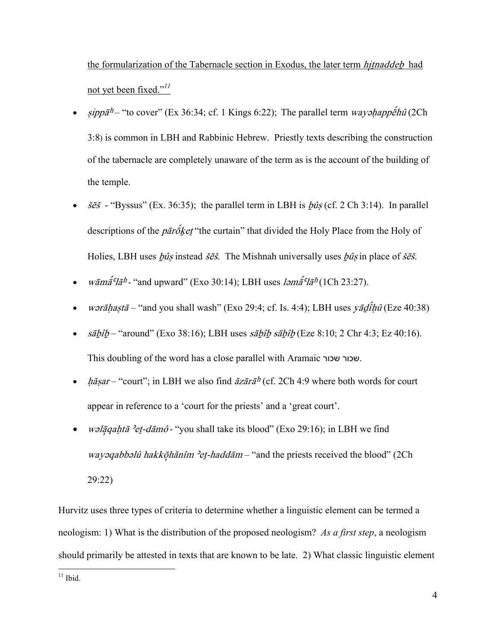the formularization of the Tabernacle section in Exodus, the later term *hitnaddeb* had not yet been fixed."*<sup>11</sup>*

- $\sin p\bar{a}$ <sup>h</sup> "to cover" (Ex 36:34; cf. 1 Kings 6:22); The parallel term wayshappe<sup>s</sup>hû (2Ch 3:8) is common in LBH and Rabbinic Hebrew. Priestly texts describing the construction of the tabernacle are completely unaware of the term as is the account of the building of the temple.
- $\delta \tilde{\epsilon}$  "Byssus" (Ex. 36:35); the parallel term in LBH is  $\delta \hat{\mu}$ s (cf. 2 Ch 3:14). In parallel descriptions of the  $p\bar{a}r\bar{o}k$ et "the curtain" that divided the Holy Place from the Holy of Holies, LBH uses  $\frac{\partial \hat{u}}{\partial s}$  instead  $\dot{s}\vec{e}\vec{s}$ . The Mishnah universally uses  $\frac{\partial \hat{u}}{\partial s}$  in place of  $\dot{s}\vec{e}\vec{s}$ .
- wämä<sup> $\epsilon$ </sup> "and upward" (Exo 30:14); LBH uses *lama<sup>s</sup>lah* (1Ch 23:27).
- wərāhastā "and you shall wash" (Exo 29:4; cf. Is. 4:4); LBH uses yādîhû (Eze 40:38)
- $\bullet$   $s\bar{a}b\hat{i}b$  "around" (Exo 38:16); LBH uses  $s\bar{a}b\hat{i}b$   $s\bar{a}b\hat{i}b$  (Eze 8:10; 2 Chr 4:3; Ez 40:16). This doubling of the word has a close parallel with Aramaic שכור שכור.
- hășar "court"; in LBH we also find ăzārā<sup>h</sup> (cf. 2Ch 4:9 where both words for court appear in reference to a 'court for the priests' and a 'great court'.
- wəlāqahtā 'et-dāmô "you shall take its blood" (Exo 29:16); in LBH we find wayəqabbəlû hakköhanîm 'et-haddām – "and the priests received the blood" (2Ch 29:22)

Hurvitz uses three types of criteria to determine whether a linguistic element can be termed a neologism: 1) What is the distribution of the proposed neologism? *As a first step*, a neologism should primarily be attested in texts that are known to be late. 2) What classic linguistic element

<u>.</u>  $11$  Ibid.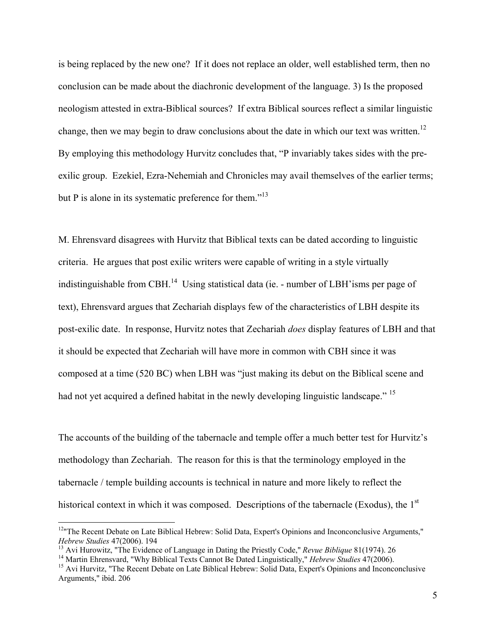is being replaced by the new one? If it does not replace an older, well established term, then no conclusion can be made about the diachronic development of the language. 3) Is the proposed neologism attested in extra-Biblical sources? If extra Biblical sources reflect a similar linguistic change, then we may begin to draw conclusions about the date in which our text was written.<sup>12</sup> By employing this methodology Hurvitz concludes that, "P invariably takes sides with the preexilic group. Ezekiel, Ezra-Nehemiah and Chronicles may avail themselves of the earlier terms; but P is alone in its systematic preference for them."<sup>13</sup>

M. Ehrensvard disagrees with Hurvitz that Biblical texts can be dated according to linguistic criteria. He argues that post exilic writers were capable of writing in a style virtually indistinguishable from CBH.<sup>14</sup> Using statistical data (ie. - number of LBH'isms per page of text), Ehrensvard argues that Zechariah displays few of the characteristics of LBH despite its post-exilic date. In response, Hurvitz notes that Zechariah *does* display features of LBH and that it should be expected that Zechariah will have more in common with CBH since it was composed at a time (520 BC) when LBH was "just making its debut on the Biblical scene and had not yet acquired a defined habitat in the newly developing linguistic landscape."<sup>15</sup>

The accounts of the building of the tabernacle and temple offer a much better test for Hurvitz's methodology than Zechariah. The reason for this is that the terminology employed in the tabernacle / temple building accounts is technical in nature and more likely to reflect the historical context in which it was composed. Descriptions of the tabernacle (Exodus), the  $1<sup>st</sup>$ 

1

<sup>&</sup>lt;sup>12</sup>"The Recent Debate on Late Biblical Hebrew: Solid Data, Expert's Opinions and Inconconclusive Arguments," *Hebrew Studies* 47(2006). 194<br><sup>13</sup> Avi Hurowitz, "The Evidence of Language in Dating the Priestly Code," *Revue Biblique* 81(1974). 26<br><sup>14</sup> Martin Ehrensvard, "Why Biblical Texts Cannot Be Dated Linguistically," *Hebrew S* 

Arguments," ibid. 206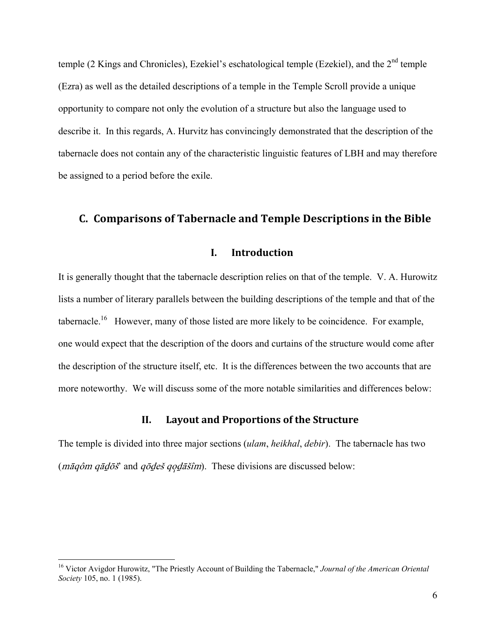temple (2 Kings and Chronicles), Ezekiel's eschatological temple (Ezekiel), and the  $2<sup>nd</sup>$  temple (Ezra) as well as the detailed descriptions of a temple in the Temple Scroll provide a unique opportunity to compare not only the evolution of a structure but also the language used to describe it. In this regards, A. Hurvitz has convincingly demonstrated that the description of the tabernacle does not contain any of the characteristic linguistic features of LBH and may therefore be assigned to a period before the exile.

# **C. Comparisons of Tabernacle and Temple Descriptions in the Bible**

### **I. Introduction**

It is generally thought that the tabernacle description relies on that of the temple. V. A. Hurowitz lists a number of literary parallels between the building descriptions of the temple and that of the tabernacle.<sup>16</sup> However, many of those listed are more likely to be coincidence. For example, one would expect that the description of the doors and curtains of the structure would come after the description of the structure itself, etc. It is the differences between the two accounts that are more noteworthy. We will discuss some of the more notable similarities and differences below:

### **II. Layout and Proportions of the Structure**

The temple is divided into three major sections (*ulam*, *heikhal*, *debir*). The tabernacle has two ( $m\bar{a}q\hat{o}m$  q $\bar{a}d\bar{o}\tilde{s}$ ' and  $q\bar{o}q\hat{e}\tilde{s}$  qo $q\bar{a}\tilde{s}im$ ). These divisions are discussed below:

<sup>16</sup> Victor Avigdor Hurowitz, "The Priestly Account of Building the Tabernacle," *Journal of the American Oriental Society* 105, no. 1 (1985).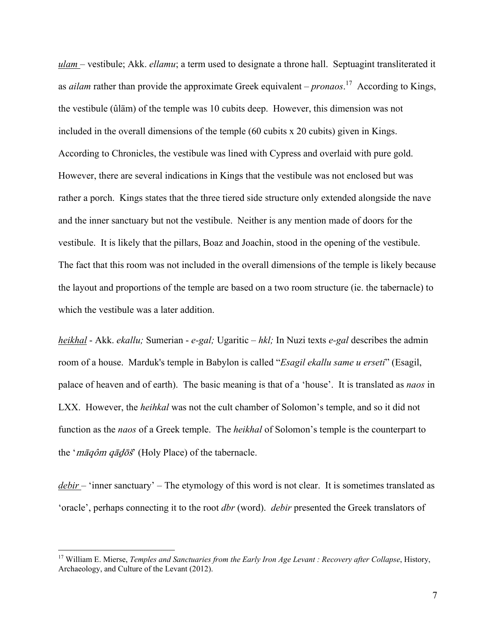*ulam* – vestibule; Akk. *ellamu*; a term used to designate a throne hall. Septuagint transliterated it as *ailam* rather than provide the approximate Greek equivalent – *pronaos*. 17 According to Kings, the vestibule (ûläm) of the temple was 10 cubits deep. However, this dimension was not included in the overall dimensions of the temple (60 cubits x 20 cubits) given in Kings. According to Chronicles, the vestibule was lined with Cypress and overlaid with pure gold. However, there are several indications in Kings that the vestibule was not enclosed but was rather a porch. Kings states that the three tiered side structure only extended alongside the nave and the inner sanctuary but not the vestibule. Neither is any mention made of doors for the vestibule. It is likely that the pillars, Boaz and Joachin, stood in the opening of the vestibule. The fact that this room was not included in the overall dimensions of the temple is likely because the layout and proportions of the temple are based on a two room structure (ie. the tabernacle) to which the vestibule was a later addition.

*heikhal* - Akk. *ekallu;* Sumerian - *e-gal;* Ugaritic – *hkl;* In Nuzi texts *e-gal* describes the admin room of a house. Marduk's temple in Babylon is called "*Esagil ekallu same u erseti*" (Esagil, palace of heaven and of earth). The basic meaning is that of a 'house'. It is translated as *naos* in LXX. However, the *heihkal* was not the cult chamber of Solomon's temple, and so it did not function as the *naos* of a Greek temple. The *heikhal* of Solomon's temple is the counterpart to the 'mäqôm qädöš' (Holy Place) of the tabernacle.

*debir* – 'inner sanctuary' – The etymology of this word is not clear. It is sometimes translated as 'oracle', perhaps connecting it to the root *dbr* (word). *debir* presented the Greek translators of

<sup>&</sup>lt;sup>17</sup> William E. Mierse, *Temples and Sanctuaries from the Early Iron Age Levant : Recovery after Collapse*, History, Archaeology, and Culture of the Levant (2012).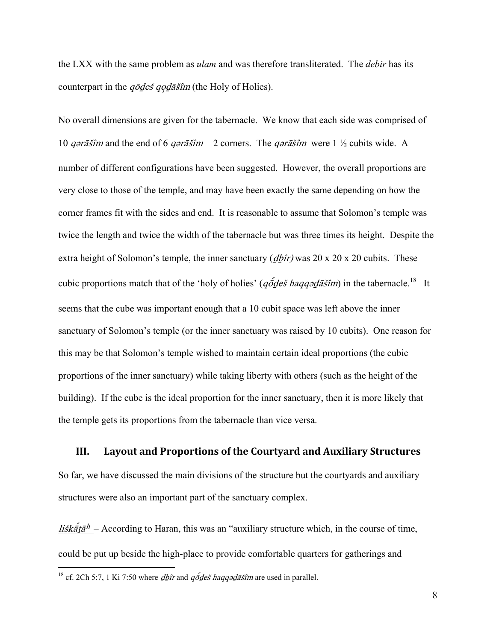the LXX with the same problem as *ulam* and was therefore transliterated. The *debir* has its counterpart in the  $q\bar{\phi}$ des  $q\bar{\phi}d\bar{\phi}$  (the Holy of Holies).

No overall dimensions are given for the tabernacle. We know that each side was comprised of 10 *q* $\sigma \tau \tilde{a} \tilde{s}$ *im* and the end of 6 *q* $\sigma \tau \tilde{a} \tilde{s}$ *im* + 2 corners. The *q* $\sigma \tau \tilde{a} \tilde{s}$ *im* were 1 ½ cubits wide. A number of different configurations have been suggested. However, the overall proportions are very close to those of the temple, and may have been exactly the same depending on how the corner frames fit with the sides and end. It is reasonable to assume that Solomon's temple was twice the length and twice the width of the tabernacle but was three times its height. Despite the extra height of Solomon's temple, the inner sanctuary  $\left(\frac{d\hat{b}}{dr}\right)$  was 20 x 20 x 20 cubits. These cubic proportions match that of the 'holy of holies' ( $q\acute{\sigma}$ deš haqqəd $\ddot{\sigma}$ sim) in the tabernacle.<sup>18</sup> It seems that the cube was important enough that a 10 cubit space was left above the inner sanctuary of Solomon's temple (or the inner sanctuary was raised by 10 cubits). One reason for this may be that Solomon's temple wished to maintain certain ideal proportions (the cubic proportions of the inner sanctuary) while taking liberty with others (such as the height of the building). If the cube is the ideal proportion for the inner sanctuary, then it is more likely that the temple gets its proportions from the tabernacle than vice versa.

**III. Layout and Proportions of the Courtyard and Auxiliary Structures** So far, we have discussed the main divisions of the structure but the courtyards and auxiliary structures were also an important part of the sanctuary complex.

lišk $\tilde{a} \tilde{t} \tilde{a}^h$  – According to Haran, this was an "auxiliary structure which, in the course of time, could be put up beside the high-place to provide comfortable quarters for gatherings and

<sup>&</sup>lt;sup>18</sup> cf. 2Ch 5:7, 1 Ki 7:50 where  $d\hat{p}$  and  $q\tilde{o}$  *deš haqq* $\tilde{o}$  *dašîm* are used in parallel.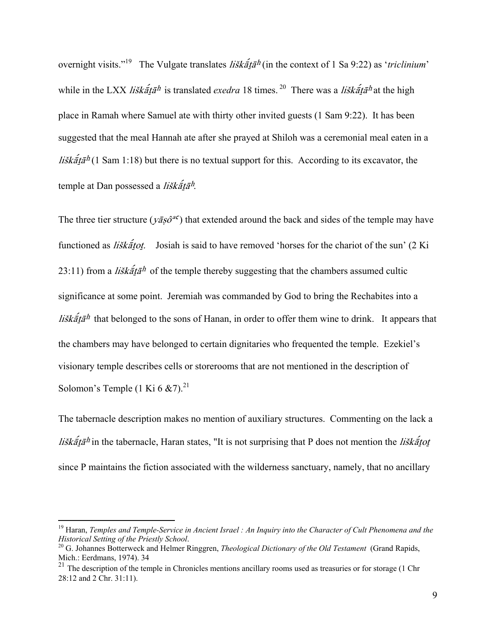overnight visits."<sup>19</sup> The Vulgate translates *liškãtā<sup>h</sup>* (in the context of 1 Sa 9:22) as '*triclinium*' while in the LXX *liškãtā<sup>h</sup>* is translated *exedra* 18 times.<sup>20</sup> There was a *liškãtā<sup>h</sup>* at the high place in Ramah where Samuel ate with thirty other invited guests (1 Sam 9:22). It has been suggested that the meal Hannah ate after she prayed at Shiloh was a ceremonial meal eaten in a lišk $\tilde{a}t\tilde{a}h(1 \text{ Sam } 1:18)$  but there is no textual support for this. According to its excavator, the temple at Dan possessed a liškatā<sup>h</sup>.

The three tier structure ( $y\bar{a}s\hat{o}^{ac}$ ) that extended around the back and sides of the temple may have functioned as *liška<sup>tot.</sup>* Josiah is said to have removed 'horses for the chariot of the sun'  $(2 \text{ Ki})$ 23:11) from a *liškata*<sup>h</sup> of the temple thereby suggesting that the chambers assumed cultic significance at some point. Jeremiah was commanded by God to bring the Rechabites into a lišk $\tilde{a}^{\dagger}t\tilde{a}^{h}$  that belonged to the sons of Hanan, in order to offer them wine to drink. It appears that the chambers may have belonged to certain dignitaries who frequented the temple. Ezekiel's visionary temple describes cells or storerooms that are not mentioned in the description of Solomon's Temple (1 Ki 6  $\&$  7).<sup>21</sup>

The tabernacle description makes no mention of auxiliary structures. Commenting on the lack a lišk $\tilde{\vec{a}}$ ta<sup>h</sup> in the tabernacle, Haran states, "It is not surprising that P does not mention the lisk $\tilde{\vec{a}}$ tot since P maintains the fiction associated with the wilderness sanctuary, namely, that no ancillary

<sup>&</sup>lt;sup>19</sup> Haran, *Temples and Temple-Service in Ancient Israel : An Inquiry into the Character of Cult Phenomena and the <br>Historical Setting of the Priestly School.* 

<sup>&</sup>lt;sup>20</sup> G. Johannes Botterweck and Helmer Ringgren, *Theological Dictionary of the Old Testament* (Grand Rapids, Mich.: Eerdmans, 1974). 34

 $^{21}$  The description of the temple in Chronicles mentions ancillary rooms used as treasuries or for storage (1 Chr 28:12 and 2 Chr. 31:11).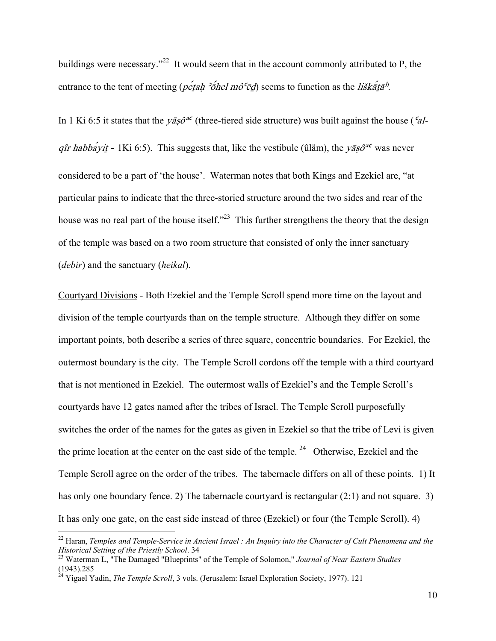buildings were necessary."<sup>22</sup> It would seem that in the account commonly attributed to P, the entrance to the tent of meeting (*petah 'onel mô*<sup> $\epsilon$ </sup> $\bar{\epsilon}$ *d*) seems to function as the *liškata<sup>h</sup>*.

In 1 Ki 6:5 it states that the  $y\bar{a}s^{\alpha\epsilon}$  (three-tiered side structure) was built against the house ( $aI$ qîr habbayit - 1Ki 6:5). This suggests that, like the vestibule (ûläm), the yāsô<sup>ac</sup> was never considered to be a part of 'the house'. Waterman notes that both Kings and Ezekiel are, "at particular pains to indicate that the three-storied structure around the two sides and rear of the house was no real part of the house itself."<sup>23</sup> This further strengthens the theory that the design of the temple was based on a two room structure that consisted of only the inner sanctuary (*debir*) and the sanctuary (*heikal*).

Courtyard Divisions - Both Ezekiel and the Temple Scroll spend more time on the layout and division of the temple courtyards than on the temple structure. Although they differ on some important points, both describe a series of three square, concentric boundaries. For Ezekiel, the outermost boundary is the city. The Temple Scroll cordons off the temple with a third courtyard that is not mentioned in Ezekiel. The outermost walls of Ezekiel's and the Temple Scroll's courtyards have 12 gates named after the tribes of Israel. The Temple Scroll purposefully switches the order of the names for the gates as given in Ezekiel so that the tribe of Levi is given the prime location at the center on the east side of the temple. <sup>24</sup> Otherwise, Ezekiel and the Temple Scroll agree on the order of the tribes. The tabernacle differs on all of these points. 1) It has only one boundary fence. 2) The tabernacle courtyard is rectangular (2:1) and not square. 3) It has only one gate, on the east side instead of three (Ezekiel) or four (the Temple Scroll). 4)

1

<sup>22</sup> Haran, *Temples and Temple-Service in Ancient Israel : An Inquiry into the Character of Cult Phenomena and the Historical Setting of the Priestly School*. 34 23 Waterman L, "The Damaged "Blueprints" of the Temple of Solomon," *Journal of Near Eastern Studies*

<sup>(1943).285</sup> 

<sup>&</sup>lt;sup>24</sup> Yigael Yadin, *The Temple Scroll*, 3 vols. (Jerusalem: Israel Exploration Society, 1977). 121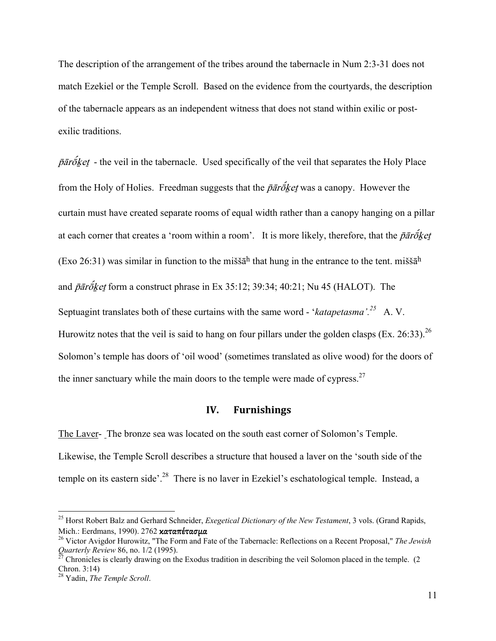The description of the arrangement of the tribes around the tabernacle in Num 2:3-31 does not match Ezekiel or the Temple Scroll. Based on the evidence from the courtyards, the description of the tabernacle appears as an independent witness that does not stand within exilic or postexilic traditions.

 $\bar{p}\bar{a}\bar{r}\bar{b}$  ket - the veil in the tabernacle. Used specifically of the veil that separates the Holy Place from the Holy of Holies. Freedman suggests that the  $\bar{p}\bar{a}\bar{r}\bar{b}\bar{k}$ et was a canopy. However the curtain must have created separate rooms of equal width rather than a canopy hanging on a pillar at each corner that creates a 'room within a room'. It is more likely, therefore, that the  $\bar{p}\bar{a}\bar{r}\bar{o}$ ket (Exo 26:31) was similar in function to the miššā<sup>h</sup> that hung in the entrance to the tent. miššā<sup>h</sup> and  $\bar{p}\bar{a}r\bar{o}k$ et form a construct phrase in Ex 35:12; 39:34; 40:21; Nu 45 (HALOT). The Septuagint translates both of these curtains with the same word - '*katapetasma'.25* A. V. Hurowitz notes that the veil is said to hang on four pillars under the golden clasps (Ex. 26:33).<sup>26</sup> Solomon's temple has doors of 'oil wood' (sometimes translated as olive wood) for the doors of the inner sanctuary while the main doors to the temple were made of cypress.<sup>27</sup>

#### **IV. Furnishings**

The Laver- The bronze sea was located on the south east corner of Solomon's Temple. Likewise, the Temple Scroll describes a structure that housed a laver on the 'south side of the temple on its eastern side'.<sup>28</sup> There is no laver in Ezekiel's eschatological temple. Instead, a

<sup>25</sup> Horst Robert Balz and Gerhard Schneider, *Exegetical Dictionary of the New Testament*, 3 vols. (Grand Rapids, Mich.: Eerdmans, 1990). 2762 **καταπέτασμα**<br><sup>26</sup> Victor Avigdor Hurowitz, "The Form and Fate of the Tabernacle: Reflections on a Recent Proposal," *The Jewish* 

*Quarterly Review* 86, no. 1/2 (1995).<br><sup>27</sup> Chronicles is clearly drawing on the Exodus tradition in describing the veil Solomon placed in the temple. (2

Chron. 3:14)

<sup>28</sup> Yadin, *The Temple Scroll*.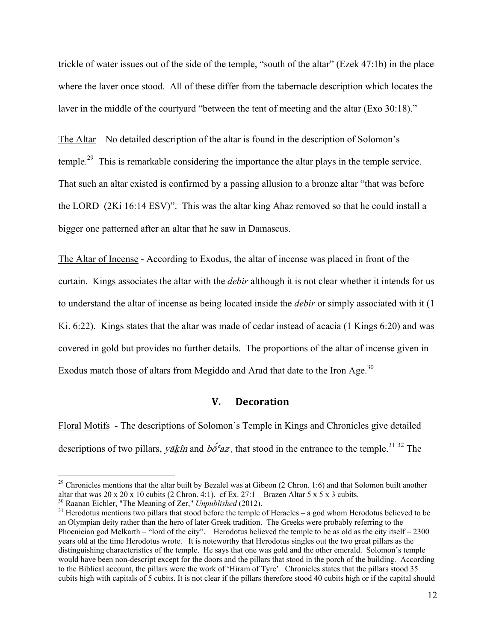trickle of water issues out of the side of the temple, "south of the altar" (Ezek 47:1b) in the place where the laver once stood. All of these differ from the tabernacle description which locates the laver in the middle of the courtyard "between the tent of meeting and the altar (Exo 30:18)."

The Altar – No detailed description of the altar is found in the description of Solomon's temple.<sup>29</sup> This is remarkable considering the importance the altar plays in the temple service. That such an altar existed is confirmed by a passing allusion to a bronze altar "that was before the LORD (2Ki 16:14 ESV)". This was the altar king Ahaz removed so that he could install a bigger one patterned after an altar that he saw in Damascus.

The Altar of Incense - According to Exodus, the altar of incense was placed in front of the curtain. Kings associates the altar with the *debir* although it is not clear whether it intends for us to understand the altar of incense as being located inside the *debir* or simply associated with it (1 Ki. 6:22). Kings states that the altar was made of cedar instead of acacia (1 Kings 6:20) and was covered in gold but provides no further details. The proportions of the altar of incense given in Exodus match those of altars from Megiddo and Arad that date to the Iron Age.<sup>30</sup>

# **V. Decoration**

Floral Motifs - The descriptions of Solomon's Temple in Kings and Chronicles give detailed descriptions of two pillars, yākîn and  $b\acute{\sigma}$ <sup>c</sup>az, that stood in the entrance to the temple.<sup>31 32</sup> The

1

<sup>&</sup>lt;sup>29</sup> Chronicles mentions that the altar built by Bezalel was at Gibeon (2 Chron. 1:6) and that Solomon built another altar that was 20 x 20 x 10 cubits (2 Chron. 4:1). cf Ex. 27:1 – Brazen Altar 5 x 5 x 3 cubits.<br><sup>30</sup> Raanan Eichler, "The Meaning of Zer," *Unpublished* (2012).

<sup>&</sup>lt;sup>31</sup> Herodotus mentions two pillars that stood before the temple of Heracles – a god whom Herodotus believed to be an Olympian deity rather than the hero of later Greek tradition. The Greeks were probably referring to the Phoenician god Melkarth – "lord of the city". Herodotus believed the temple to be as old as the city itself – 2300 years old at the time Herodotus wrote. It is noteworthy that Herodotus singles out the two great pillars as the distinguishing characteristics of the temple. He says that one was gold and the other emerald. Solomon's temple would have been non-descript except for the doors and the pillars that stood in the porch of the building. According to the Biblical account, the pillars were the work of 'Hiram of Tyre'. Chronicles states that the pillars stood 35 cubits high with capitals of 5 cubits. It is not clear if the pillars therefore stood 40 cubits high or if the capital should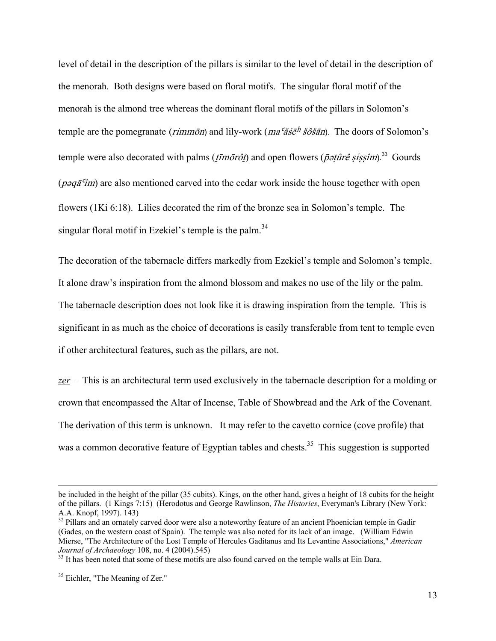level of detail in the description of the pillars is similar to the level of detail in the description of the menorah. Both designs were based on floral motifs. The singular floral motif of the menorah is the almond tree whereas the dominant floral motifs of the pillars in Solomon's temple are the pomegranate (*rimmon*) and lily-work ( $ma<sup>c</sup> \tilde{a} \tilde{s} \tilde{e}^h \tilde{s} \tilde{o} \tilde{s} \tilde{a} n$ ). The doors of Solomon's temple were also decorated with palms ( $t\bar{t}m\bar{o}r\hat{o}t$ ) and open flowers ( $\bar{p}\neq t\hat{u}r\hat{e}$  sissim).<sup>33</sup> Gourds ( $\bar{p}$  $\bar{q}$  $\bar{q}$  $\bar{q}$  $\bar{q}$ ) are also mentioned carved into the cedar work inside the house together with open flowers (1Ki 6:18). Lilies decorated the rim of the bronze sea in Solomon's temple. The singular floral motif in Ezekiel's temple is the palm.<sup>34</sup>

The decoration of the tabernacle differs markedly from Ezekiel's temple and Solomon's temple. It alone draw's inspiration from the almond blossom and makes no use of the lily or the palm. The tabernacle description does not look like it is drawing inspiration from the temple. This is significant in as much as the choice of decorations is easily transferable from tent to temple even if other architectural features, such as the pillars, are not.

*zer –* This is an architectural term used exclusively in the tabernacle description for a molding or crown that encompassed the Altar of Incense, Table of Showbread and the Ark of the Covenant. The derivation of this term is unknown. It may refer to the cavetto cornice (cove profile) that was a common decorative feature of Egyptian tables and chests.<sup>35</sup> This suggestion is supported

be included in the height of the pillar (35 cubits). Kings, on the other hand, gives a height of 18 cubits for the height of the pillars. (1 Kings 7:15) (Herodotus and George Rawlinson, *The Histories*, Everyman's Library (New York: A.A. Knopf, 1997). 143)

<sup>&</sup>lt;sup>32</sup> Pillars and an ornately carved door were also a noteworthy feature of an ancient Phoenician temple in Gadir (Gades, on the western coast of Spain). The temple was also noted for its lack of an image. (William Edwin Mierse, "The Architecture of the Lost Temple of Hercules Gaditanus and Its Levantine Associations," *American Journal of Archaeology* 108, no. 4 (2004).545)<br><sup>33</sup> It has been noted that some of these motifs are also found carved on the temple walls at Ein Dara.

<sup>&</sup>lt;sup>35</sup> Eichler, "The Meaning of Zer."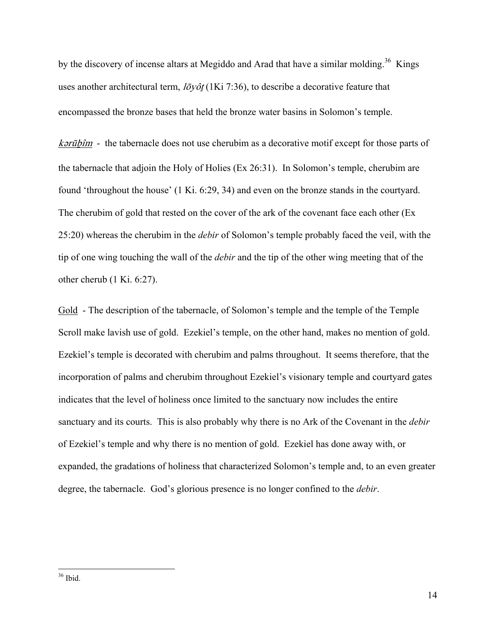by the discovery of incense altars at Megiddo and Arad that have a similar molding.<sup>36</sup> Kings uses another architectural term,  $l\bar{\sigma}y\partial t$  (1Ki 7:36), to describe a decorative feature that encompassed the bronze bases that held the bronze water basins in Solomon's temple.

 $k$ *arūbîm* - the tabernacle does not use cherubim as a decorative motif except for those parts of the tabernacle that adjoin the Holy of Holies (Ex 26:31). In Solomon's temple, cherubim are found 'throughout the house' (1 Ki. 6:29, 34) and even on the bronze stands in the courtyard. The cherubim of gold that rested on the cover of the ark of the covenant face each other (Ex 25:20) whereas the cherubim in the *debir* of Solomon's temple probably faced the veil, with the tip of one wing touching the wall of the *debir* and the tip of the other wing meeting that of the other cherub (1 Ki. 6:27).

Gold - The description of the tabernacle, of Solomon's temple and the temple of the Temple Scroll make lavish use of gold. Ezekiel's temple, on the other hand, makes no mention of gold. Ezekiel's temple is decorated with cherubim and palms throughout. It seems therefore, that the incorporation of palms and cherubim throughout Ezekiel's visionary temple and courtyard gates indicates that the level of holiness once limited to the sanctuary now includes the entire sanctuary and its courts. This is also probably why there is no Ark of the Covenant in the *debir* of Ezekiel's temple and why there is no mention of gold. Ezekiel has done away with, or expanded, the gradations of holiness that characterized Solomon's temple and, to an even greater degree, the tabernacle. God's glorious presence is no longer confined to the *debir*.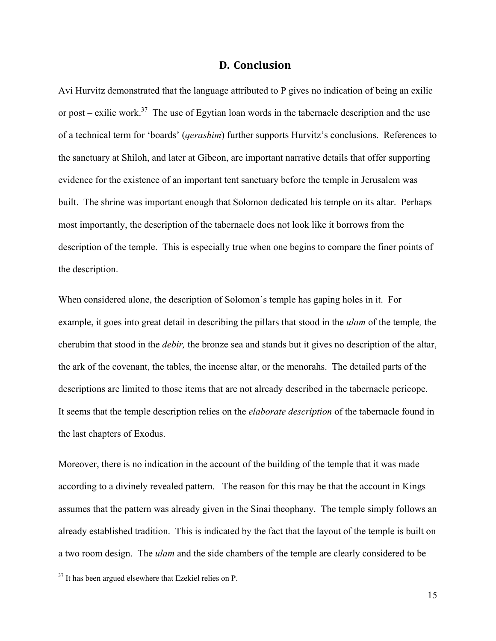### **D. Conclusion**

Avi Hurvitz demonstrated that the language attributed to P gives no indication of being an exilic or post – exilic work.<sup>37</sup> The use of Egytian loan words in the tabernacle description and the use of a technical term for 'boards' (*qerashim*) further supports Hurvitz's conclusions. References to the sanctuary at Shiloh, and later at Gibeon, are important narrative details that offer supporting evidence for the existence of an important tent sanctuary before the temple in Jerusalem was built. The shrine was important enough that Solomon dedicated his temple on its altar. Perhaps most importantly, the description of the tabernacle does not look like it borrows from the description of the temple. This is especially true when one begins to compare the finer points of the description.

When considered alone, the description of Solomon's temple has gaping holes in it. For example, it goes into great detail in describing the pillars that stood in the *ulam* of the temple*,* the cherubim that stood in the *debir,* the bronze sea and stands but it gives no description of the altar, the ark of the covenant, the tables, the incense altar, or the menorahs. The detailed parts of the descriptions are limited to those items that are not already described in the tabernacle pericope. It seems that the temple description relies on the *elaborate description* of the tabernacle found in the last chapters of Exodus.

Moreover, there is no indication in the account of the building of the temple that it was made according to a divinely revealed pattern. The reason for this may be that the account in Kings assumes that the pattern was already given in the Sinai theophany. The temple simply follows an already established tradition. This is indicated by the fact that the layout of the temple is built on a two room design. The *ulam* and the side chambers of the temple are clearly considered to be

<sup>&</sup>lt;sup>37</sup> It has been argued elsewhere that Ezekiel relies on P.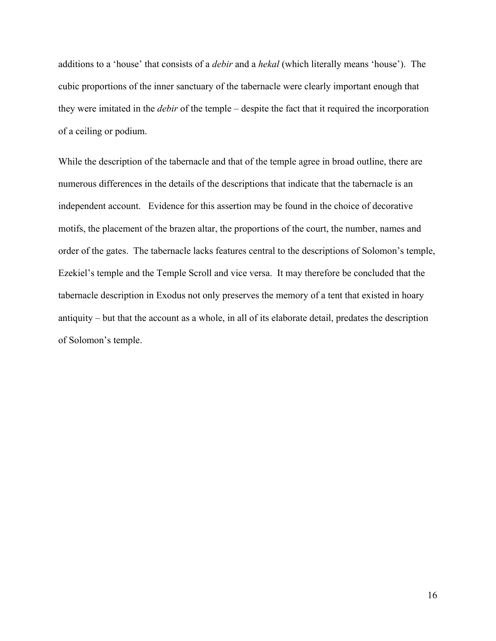additions to a 'house' that consists of a *debir* and a *hekal* (which literally means 'house'). The cubic proportions of the inner sanctuary of the tabernacle were clearly important enough that they were imitated in the *debir* of the temple – despite the fact that it required the incorporation of a ceiling or podium.

While the description of the tabernacle and that of the temple agree in broad outline, there are numerous differences in the details of the descriptions that indicate that the tabernacle is an independent account. Evidence for this assertion may be found in the choice of decorative motifs, the placement of the brazen altar, the proportions of the court, the number, names and order of the gates. The tabernacle lacks features central to the descriptions of Solomon's temple, Ezekiel's temple and the Temple Scroll and vice versa. It may therefore be concluded that the tabernacle description in Exodus not only preserves the memory of a tent that existed in hoary antiquity – but that the account as a whole, in all of its elaborate detail, predates the description of Solomon's temple.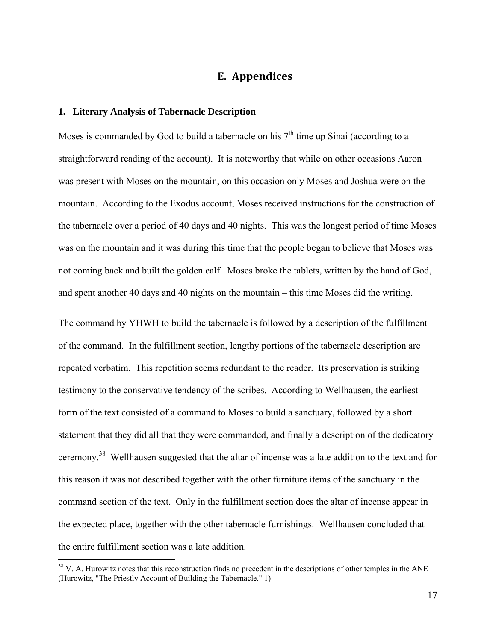# **E. Appendices**

#### **1. Literary Analysis of Tabernacle Description**

 $\overline{a}$ 

Moses is commanded by God to build a tabernacle on his  $7<sup>th</sup>$  time up Sinai (according to a straightforward reading of the account). It is noteworthy that while on other occasions Aaron was present with Moses on the mountain, on this occasion only Moses and Joshua were on the mountain. According to the Exodus account, Moses received instructions for the construction of the tabernacle over a period of 40 days and 40 nights. This was the longest period of time Moses was on the mountain and it was during this time that the people began to believe that Moses was not coming back and built the golden calf. Moses broke the tablets, written by the hand of God, and spent another 40 days and 40 nights on the mountain – this time Moses did the writing.

The command by YHWH to build the tabernacle is followed by a description of the fulfillment of the command. In the fulfillment section, lengthy portions of the tabernacle description are repeated verbatim. This repetition seems redundant to the reader. Its preservation is striking testimony to the conservative tendency of the scribes. According to Wellhausen, the earliest form of the text consisted of a command to Moses to build a sanctuary, followed by a short statement that they did all that they were commanded, and finally a description of the dedicatory ceremony.38 Wellhausen suggested that the altar of incense was a late addition to the text and for this reason it was not described together with the other furniture items of the sanctuary in the command section of the text. Only in the fulfillment section does the altar of incense appear in the expected place, together with the other tabernacle furnishings. Wellhausen concluded that the entire fulfillment section was a late addition.

<sup>&</sup>lt;sup>38</sup> V. A. Hurowitz notes that this reconstruction finds no precedent in the descriptions of other temples in the ANE (Hurowitz, "The Priestly Account of Building the Tabernacle." 1)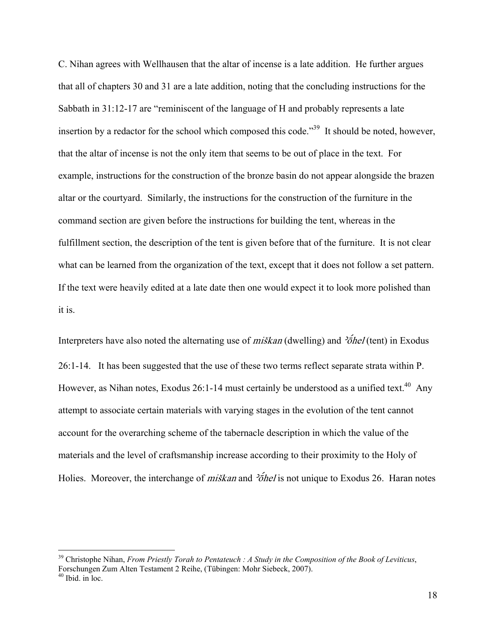C. Nihan agrees with Wellhausen that the altar of incense is a late addition. He further argues that all of chapters 30 and 31 are a late addition, noting that the concluding instructions for the Sabbath in 31:12-17 are "reminiscent of the language of H and probably represents a late insertion by a redactor for the school which composed this code."<sup>39</sup> It should be noted, however, that the altar of incense is not the only item that seems to be out of place in the text. For example, instructions for the construction of the bronze basin do not appear alongside the brazen altar or the courtyard. Similarly, the instructions for the construction of the furniture in the command section are given before the instructions for building the tent, whereas in the fulfillment section, the description of the tent is given before that of the furniture. It is not clear what can be learned from the organization of the text, except that it does not follow a set pattern. If the text were heavily edited at a late date then one would expect it to look more polished than it is.

Interpreters have also noted the alternating use of *miškan* (dwelling) and  $\frac{2\delta}{h}$  (tent) in Exodus 26:1-14. It has been suggested that the use of these two terms reflect separate strata within P. However, as Nihan notes, Exodus 26:1-14 must certainly be understood as a unified text.<sup>40</sup> Any attempt to associate certain materials with varying stages in the evolution of the tent cannot account for the overarching scheme of the tabernacle description in which the value of the materials and the level of craftsmanship increase according to their proximity to the Holy of Holies. Moreover, the interchange of *miškan* and  $\delta$ *fiel* is not unique to Exodus 26. Haran notes

<sup>39</sup> Christophe Nihan, *From Priestly Torah to Pentateuch : A Study in the Composition of the Book of Leviticus*, Forschungen Zum Alten Testament 2 Reihe, (Tübingen: Mohr Siebeck, 2007).

 $40$  Ibid. in loc.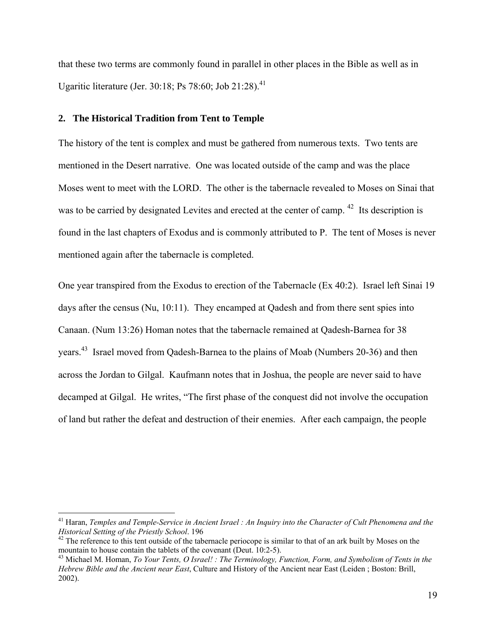that these two terms are commonly found in parallel in other places in the Bible as well as in Ugaritic literature (Jer. 30:18; Ps 78:60; Job 21:28).<sup>41</sup>

#### **2. The Historical Tradition from Tent to Temple**

<u>.</u>

The history of the tent is complex and must be gathered from numerous texts. Two tents are mentioned in the Desert narrative. One was located outside of the camp and was the place Moses went to meet with the LORD. The other is the tabernacle revealed to Moses on Sinai that was to be carried by designated Levites and erected at the center of camp.<sup>42</sup> Its description is found in the last chapters of Exodus and is commonly attributed to P. The tent of Moses is never mentioned again after the tabernacle is completed.

One year transpired from the Exodus to erection of the Tabernacle (Ex 40:2). Israel left Sinai 19 days after the census (Nu, 10:11). They encamped at Qadesh and from there sent spies into Canaan. (Num 13:26) Homan notes that the tabernacle remained at Qadesh-Barnea for 38 years.43 Israel moved from Qadesh-Barnea to the plains of Moab (Numbers 20-36) and then across the Jordan to Gilgal. Kaufmann notes that in Joshua, the people are never said to have decamped at Gilgal. He writes, "The first phase of the conquest did not involve the occupation of land but rather the defeat and destruction of their enemies. After each campaign, the people

<sup>&</sup>lt;sup>41</sup> Haran, *Temples and Temple-Service in Ancient Israel : An Inquiry into the Character of Cult Phenomena and the Historical Setting of the Priestly School. 196* 

<sup>&</sup>lt;sup>42</sup> The reference to this tent outside of the tabernacle periocope is similar to that of an ark built by Moses on the mountain to house contain the tablets of the covenant (Deut. 10:2-5).

<sup>43</sup> Michael M. Homan, *To Your Tents, O Israel! : The Terminology, Function, Form, and Symbolism of Tents in the Hebrew Bible and the Ancient near East*, Culture and History of the Ancient near East (Leiden ; Boston: Brill, 2002).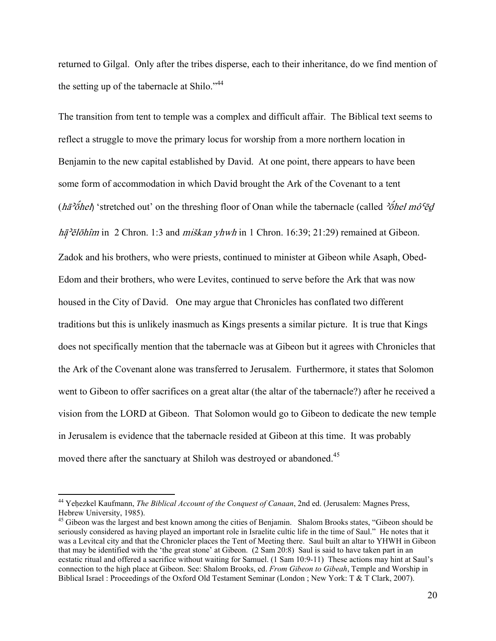returned to Gilgal. Only after the tribes disperse, each to their inheritance, do we find mention of the setting up of the tabernacle at Shilo."<sup>44</sup>

The transition from tent to temple was a complex and difficult affair. The Biblical text seems to reflect a struggle to move the primary locus for worship from a more northern location in Benjamin to the new capital established by David. At one point, there appears to have been some form of accommodation in which David brought the Ark of the Covenant to a tent (ha<sup>3</sup>othel) 'stretched out' on the threshing floor of Onan while the tabernacle (called  $\partial \bar{\partial}$ *hel mô*<sup> $\bar{c}$ </sup>d  $h\bar{a}^2$ ělōhîm in 2 Chron. 1:3 and *miškan yhwh* in 1 Chron. 16:39; 21:29) remained at Gibeon. Zadok and his brothers, who were priests, continued to minister at Gibeon while Asaph, Obed-Edom and their brothers, who were Levites, continued to serve before the Ark that was now housed in the City of David. One may argue that Chronicles has conflated two different traditions but this is unlikely inasmuch as Kings presents a similar picture. It is true that Kings does not specifically mention that the tabernacle was at Gibeon but it agrees with Chronicles that the Ark of the Covenant alone was transferred to Jerusalem. Furthermore, it states that Solomon went to Gibeon to offer sacrifices on a great altar (the altar of the tabernacle?) after he received a vision from the LORD at Gibeon. That Solomon would go to Gibeon to dedicate the new temple in Jerusalem is evidence that the tabernacle resided at Gibeon at this time. It was probably moved there after the sanctuary at Shiloh was destroyed or abandoned.<sup>45</sup>

<sup>44</sup> Yeḥezkel Kaufmann, *The Biblical Account of the Conquest of Canaan*, 2nd ed. (Jerusalem: Magnes Press, Hebrew University, 1985).

<sup>&</sup>lt;sup>45</sup> Gibeon was the largest and best known among the cities of Benjamin. Shalom Brooks states, "Gibeon should be seriously considered as having played an important role in Israelite cultic life in the time of Saul." He notes that it was a Levitcal city and that the Chronicler places the Tent of Meeting there. Saul built an altar to YHWH in Gibeon that may be identified with the 'the great stone' at Gibeon. (2 Sam 20:8) Saul is said to have taken part in an ecstatic ritual and offered a sacrifice without waiting for Samuel. (1 Sam 10:9-11) These actions may hint at Saul's connection to the high place at Gibeon. See: Shalom Brooks, ed. *From Gibeon to Gibeah*, Temple and Worship in Biblical Israel : Proceedings of the Oxford Old Testament Seminar (London ; New York: T & T Clark, 2007).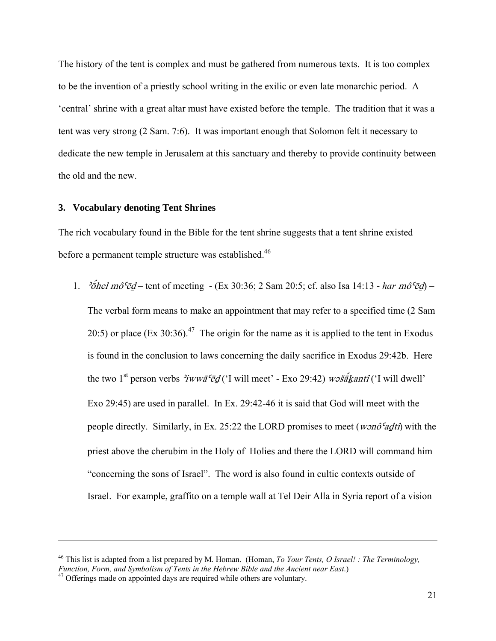The history of the tent is complex and must be gathered from numerous texts. It is too complex to be the invention of a priestly school writing in the exilic or even late monarchic period. A 'central' shrine with a great altar must have existed before the temple. The tradition that it was a tent was very strong (2 Sam. 7:6). It was important enough that Solomon felt it necessary to dedicate the new temple in Jerusalem at this sanctuary and thereby to provide continuity between the old and the new.

#### **3. Vocabulary denoting Tent Shrines**

The rich vocabulary found in the Bible for the tent shrine suggests that a tent shrine existed before a permanent temple structure was established.<sup>46</sup>

1. <sup>2</sup> $\vec{\delta}$ hel mô<sup>c</sup>ēd – tent of meeting - (Ex 30:36; 2 Sam 20:5; cf. also Isa 14:13 - *har mô<sup>c</sup>ēd*) – The verbal form means to make an appointment that may refer to a specified time (2 Sam 20:5) or place (Ex 30:36).<sup>47</sup> The origin for the name as it is applied to the tent in Exodus is found in the conclusion to laws concerning the daily sacrifice in Exodus 29:42b. Here the two 1<sup>st</sup> person verbs  $\frac{\partial^2 u}{\partial x^2}$  ('I will meet' - Exo 29:42) w $\frac{\partial^2 u}{\partial x \partial x}$  will dwell' Exo 29:45) are used in parallel. In Ex. 29:42-46 it is said that God will meet with the people directly. Similarly, in Ex. 25:22 the LORD promises to meet (*wonô*<sup>c</sup> adt i) with the priest above the cherubim in the Holy of Holies and there the LORD will command him "concerning the sons of Israel". The word is also found in cultic contexts outside of Israel. For example, graffito on a temple wall at Tel Deir Alla in Syria report of a vision

<u>.</u>

<sup>46</sup> This list is adapted from a list prepared by M. Homan. (Homan, *To Your Tents, O Israel! : The Terminology, Function, Form, and Symbolism of Tents in the Hebrew Bible and the Ancient near East*.) 47 Offerings made on appointed days are required while others are voluntary.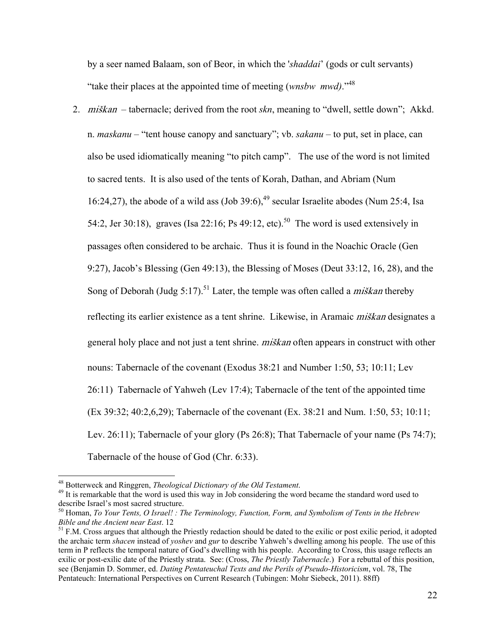by a seer named Balaam, son of Beor, in which the '*shaddai*' (gods or cult servants) "take their places at the appointed time of meeting (*wnsbw mwd)*."48

2. mišKan – tabernacle; derived from the root *skn*, meaning to "dwell, settle down"; Akkd. n. *maskanu* – "tent house canopy and sanctuary"; vb. *sakanu* – to put, set in place, can also be used idiomatically meaning "to pitch camp". The use of the word is not limited to sacred tents. It is also used of the tents of Korah, Dathan, and Abriam (Num 16:24,27), the abode of a wild ass  $(Job 39:6)$ ,<sup>49</sup> secular Israelite abodes (Num 25:4, Isa 54:2, Jer 30:18), graves (Isa 22:16; Ps 49:12, etc).<sup>50</sup> The word is used extensively in passages often considered to be archaic. Thus it is found in the Noachic Oracle (Gen 9:27), Jacob's Blessing (Gen 49:13), the Blessing of Moses (Deut 33:12, 16, 28), and the Song of Deborah (Judg 5:17).<sup>51</sup> Later, the temple was often called a *miškan* thereby reflecting its earlier existence as a tent shrine. Likewise, in Aramaic *miškan* designates a general holy place and not just a tent shrine. *miškan* often appears in construct with other nouns: Tabernacle of the covenant (Exodus 38:21 and Number 1:50, 53; 10:11; Lev 26:11) Tabernacle of Yahweh (Lev 17:4); Tabernacle of the tent of the appointed time (Ex 39:32; 40:2,6,29); Tabernacle of the covenant (Ex. 38:21 and Num. 1:50, 53; 10:11; Lev. 26:11); Tabernacle of your glory (Ps 26:8); That Tabernacle of your name (Ps 74:7); Tabernacle of the house of God (Chr. 6:33).

<sup>&</sup>lt;sup>48</sup> Botterweck and Ringgren, *Theological Dictionary of the Old Testament*.<br><sup>49</sup> It is remarkable that the word is used this way in Job considering the word became the standard word used to describe Israel's most sacred structure.

<sup>50</sup> Homan, *To Your Tents, O Israel! : The Terminology, Function, Form, and Symbolism of Tents in the Hebrew* 

<sup>&</sup>lt;sup>51</sup> F.M. Cross argues that although the Priestly redaction should be dated to the exilic or post exilic period, it adopted the archaic term *shacen* instead of *yoshev* and *gur* to describe Yahweh's dwelling among his people. The use of this term in P reflects the temporal nature of God's dwelling with his people. According to Cross, this usage reflects an exilic or post-exilic date of the Priestly strata. See: (Cross, *The Priestly Tabernacle*.) For a rebuttal of this position, see (Benjamin D. Sommer, ed. *Dating Pentateuchal Texts and the Perils of Pseudo-Historicism*, vol. 78, The Pentateuch: International Perspectives on Current Research (Tubingen: Mohr Siebeck, 2011). 88ff)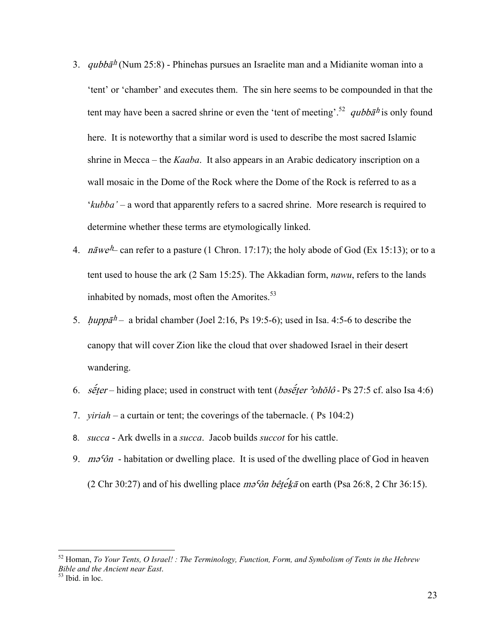- 3. *qubba<sup>h</sup>* (Num 25:8) Phinehas pursues an Israelite man and a Midianite woman into a 'tent' or 'chamber' and executes them. The sin here seems to be compounded in that the tent may have been a sacred shrine or even the 'tent of meeting'.<sup>52</sup> qubba<sup>h</sup> is only found here. It is noteworthy that a similar word is used to describe the most sacred Islamic shrine in Mecca – the *Kaaba*. It also appears in an Arabic dedicatory inscription on a wall mosaic in the Dome of the Rock where the Dome of the Rock is referred to as a '*kubba'* – a word that apparently refers to a sacred shrine. More research is required to determine whether these terms are etymologically linked.
- 4. nāwe<sup>h</sup> can refer to a pasture (1 Chron. 17:17); the holy abode of God (Ex 15:13); or to a tent used to house the ark (2 Sam 15:25). The Akkadian form, *nawu*, refers to the lands inhabited by nomads, most often the Amorites. $53$
- 5.  $hupp\bar{a}^h$  a bridal chamber (Joel 2:16, Ps 19:5-6); used in Isa. 4:5-6 to describe the canopy that will cover Zion like the cloud that over shadowed Israel in their desert wandering.
- 6. s $\acute{\epsilon}$  *seter* hiding place; used in construct with tent (*bəseter 'oholô* Ps 27:5 cf. also Isa 4:6)
- 7. *yiriah* a curtain or tent; the coverings of the tabernacle. ( Ps 104:2)
- 8. *succa* Ark dwells in a *succa*. Jacob builds *succot* for his cattle.
- 9.  $m\delta\hat{\theta}$  habitation or dwelling place. It is used of the dwelling place of God in heaven (2 Chr 30:27) and of his dwelling place  $m\sigma^2 \hat{\sigma} n$  bêteka on earth (Psa 26:8, 2 Chr 36:15).

<sup>52</sup> Homan, *To Your Tents, O Israel! : The Terminology, Function, Form, and Symbolism of Tents in the Hebrew Bible and the Ancient near East*. 53 Ibid. in loc.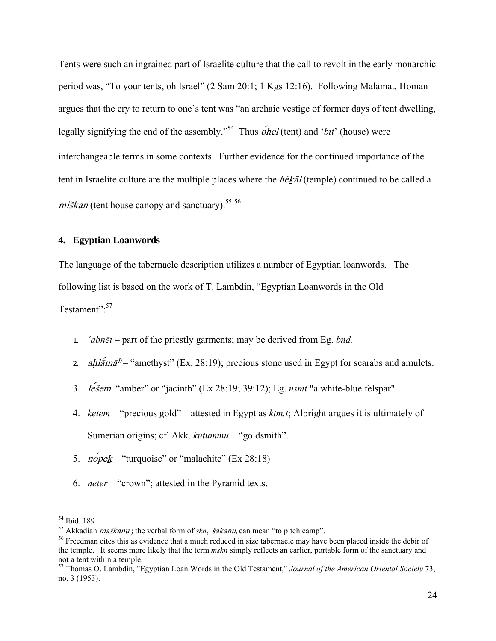Tents were such an ingrained part of Israelite culture that the call to revolt in the early monarchic period was, "To your tents, oh Israel" (2 Sam 20:1; 1 Kgs 12:16). Following Malamat, Homan argues that the cry to return to one's tent was "an archaic vestige of former days of tent dwelling, legally signifying the end of the assembly."<sup>54</sup> Thus  $\tilde{\phi}$ hel (tent) and '*bit*' (house) were interchangeable terms in some contexts. Further evidence for the continued importance of the tent in Israelite culture are the multiple places where the *hêkāl* (temple) continued to be called a miškan (tent house canopy and sanctuary).<sup>55 56</sup>

### **4. Egyptian Loanwords**

The language of the tabernacle description utilizes a number of Egyptian loanwords. The following list is based on the work of T. Lambdin, "Egyptian Loanwords in the Old Testament".<sup>57</sup>

- 1. *´abnēt* part of the priestly garments; may be derived from Eg. *bnd.*
- 2. ahl $\tilde{a}m\tilde{a}h$  "amethyst" (Ex. 28:19); precious stone used in Egypt for scarabs and amulets.
- 3. *lesem* "amber" or "jacinth" (Ex 28:19: 39:12); Eg. *nsmt* "a white-blue felspar".
- 4. *ketem* "precious gold" attested in Egypt as *ktm.t*; Albright argues it is ultimately of Sumerian origins; cf. Akk. *kutummu –* "goldsmith".
- 5.  $n\bar{o}$ *p*ek "turquoise" or "malachite" (Ex 28:18)
- 6. *neter* "crown"; attested in the Pyramid texts.

<sup>54</sup> Ibid. 189

<sup>&</sup>lt;sup>55</sup> Akkadian *maškanu* ; the verbal form of *skn*, šakanu, can mean "to pitch camp".

<sup>&</sup>lt;sup>56</sup> Freedman cites this as evidence that a much reduced in size tabernacle may have been placed inside the debir of the temple. It seems more likely that the term *mskn* simply reflects an earlier, portable form of the sanctuary and not a tent within a temple.

<sup>57</sup> Thomas O. Lambdin, "Egyptian Loan Words in the Old Testament," *Journal of the American Oriental Society* 73, no. 3 (1953).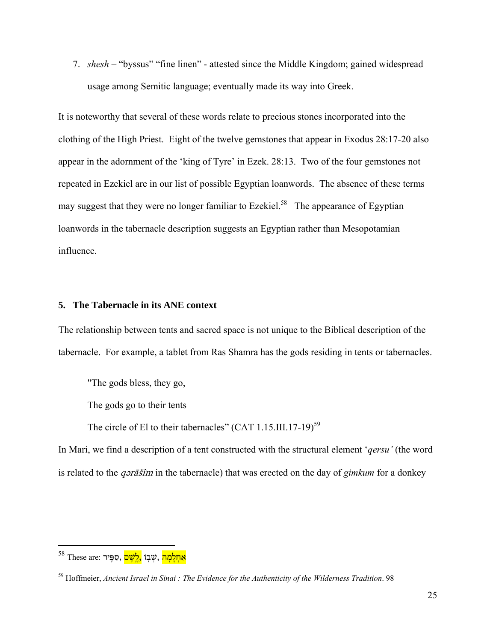7. *shesh* – "byssus" "fine linen" - attested since the Middle Kingdom; gained widespread usage among Semitic language; eventually made its way into Greek.

It is noteworthy that several of these words relate to precious stones incorporated into the clothing of the High Priest. Eight of the twelve gemstones that appear in Exodus 28:17-20 also appear in the adornment of the 'king of Tyre' in Ezek. 28:13. Two of the four gemstones not repeated in Ezekiel are in our list of possible Egyptian loanwords. The absence of these terms may suggest that they were no longer familiar to Ezekiel.<sup>58</sup> The appearance of Egyptian loanwords in the tabernacle description suggests an Egyptian rather than Mesopotamian influence.

#### **5. The Tabernacle in its ANE context**

The relationship between tents and sacred space is not unique to the Biblical description of the tabernacle. For example, a tablet from Ras Shamra has the gods residing in tents or tabernacles.

"The gods bless, they go,

The gods go to their tents

The circle of El to their tabernacles" (CAT  $1.15$ .III.17-19)<sup>59</sup>

In Mari, we find a description of a tent constructed with the structural element '*qersu'* (the word is related to the *q*arasim in the tabernacle) that was erected on the day of *gimkum* for a donkey

1

 $^{58}$  These are: אֲחָלָמָה , שָׁבְוֹ

<sup>59</sup> Hoffmeier, *Ancient Israel in Sinai : The Evidence for the Authenticity of the Wilderness Tradition*. 98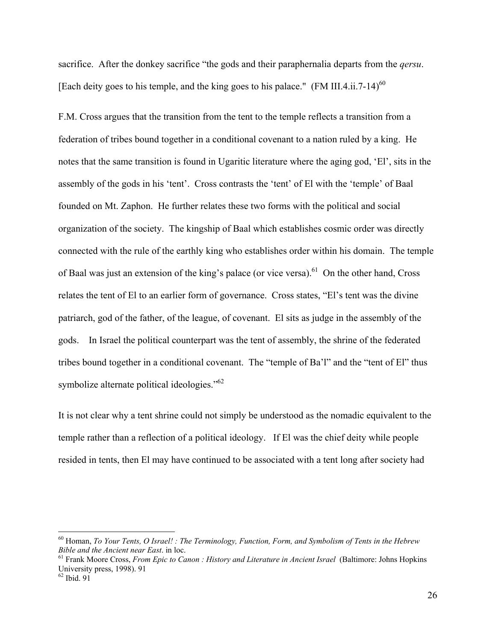sacrifice. After the donkey sacrifice "the gods and their paraphernalia departs from the *qersu*. [Each deity goes to his temple, and the king goes to his palace." (FM III.4.ii.7-14)<sup>60</sup>

F.M. Cross argues that the transition from the tent to the temple reflects a transition from a federation of tribes bound together in a conditional covenant to a nation ruled by a king. He notes that the same transition is found in Ugaritic literature where the aging god, 'El', sits in the assembly of the gods in his 'tent'. Cross contrasts the 'tent' of El with the 'temple' of Baal founded on Mt. Zaphon. He further relates these two forms with the political and social organization of the society. The kingship of Baal which establishes cosmic order was directly connected with the rule of the earthly king who establishes order within his domain. The temple of Baal was just an extension of the king's palace (or vice versa).<sup>61</sup> On the other hand, Cross relates the tent of El to an earlier form of governance. Cross states, "El's tent was the divine patriarch, god of the father, of the league, of covenant. El sits as judge in the assembly of the gods. In Israel the political counterpart was the tent of assembly, the shrine of the federated tribes bound together in a conditional covenant. The "temple of Ba'l" and the "tent of El" thus symbolize alternate political ideologies."<sup>62</sup>

It is not clear why a tent shrine could not simply be understood as the nomadic equivalent to the temple rather than a reflection of a political ideology. If El was the chief deity while people resided in tents, then El may have continued to be associated with a tent long after society had

<sup>60</sup> Homan, *To Your Tents, O Israel! : The Terminology, Function, Form, and Symbolism of Tents in the Hebrew Bible and the Ancient near East.* in loc.<br><sup>61</sup> Frank Moore Cross, *From Epic to Canon : History and Literature in Ancient Israel* (Baltimore: Johns Hopkins

University press, 1998). 91

<sup>62</sup> Ibid. 91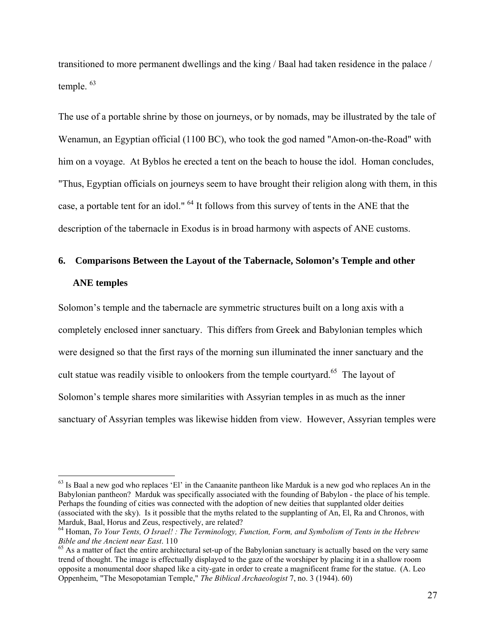transitioned to more permanent dwellings and the king / Baal had taken residence in the palace / temple. 63

The use of a portable shrine by those on journeys, or by nomads, may be illustrated by the tale of Wenamun, an Egyptian official (1100 BC), who took the god named "Amon-on-the-Road" with him on a voyage. At Byblos he erected a tent on the beach to house the idol. Homan concludes, "Thus, Egyptian officials on journeys seem to have brought their religion along with them, in this case, a portable tent for an idol." 64 It follows from this survey of tents in the ANE that the description of the tabernacle in Exodus is in broad harmony with aspects of ANE customs.

# **6. Comparisons Between the Layout of the Tabernacle, Solomon's Temple and other ANE temples**

Solomon's temple and the tabernacle are symmetric structures built on a long axis with a completely enclosed inner sanctuary. This differs from Greek and Babylonian temples which were designed so that the first rays of the morning sun illuminated the inner sanctuary and the cult statue was readily visible to onlookers from the temple courtyard.<sup>65</sup> The layout of Solomon's temple shares more similarities with Assyrian temples in as much as the inner sanctuary of Assyrian temples was likewise hidden from view. However, Assyrian temples were

 $<sup>63</sup>$  Is Baal a new god who replaces 'El' in the Canaanite pantheon like Marduk is a new god who replaces An in the</sup> Babylonian pantheon? Marduk was specifically associated with the founding of Babylon - the place of his temple. Perhaps the founding of cities was connected with the adoption of new deities that supplanted older deities (associated with the sky). Is it possible that the myths related to the supplanting of An, El, Ra and Chronos, with Marduk, Baal, Horus and Zeus, respectively, are related?

<sup>64</sup> Homan, *To Your Tents, O Israel! : The Terminology, Function, Form, and Symbolism of Tents in the Hebrew* 

<sup>&</sup>lt;sup>65</sup> As a matter of fact the entire architectural set-up of the Babylonian sanctuary is actually based on the very same trend of thought. The image is effectually displayed to the gaze of the worshiper by placing it in a shallow room opposite a monumental door shaped like a city-gate in order to create a magnificent frame for the statue. (A. Leo Oppenheim, "The Mesopotamian Temple," *The Biblical Archaeologist* 7, no. 3 (1944). 60)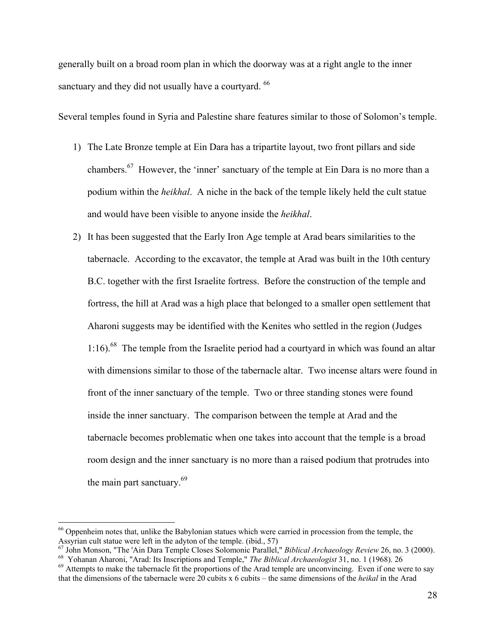generally built on a broad room plan in which the doorway was at a right angle to the inner sanctuary and they did not usually have a courtyard. <sup>66</sup>

Several temples found in Syria and Palestine share features similar to those of Solomon's temple.

- 1) The Late Bronze temple at Ein Dara has a tripartite layout, two front pillars and side chambers.<sup>67</sup> However, the 'inner' sanctuary of the temple at Ein Dara is no more than a podium within the *heikhal*. A niche in the back of the temple likely held the cult statue and would have been visible to anyone inside the *heikhal*.
- 2) It has been suggested that the Early Iron Age temple at Arad bears similarities to the tabernacle. According to the excavator, the temple at Arad was built in the 10th century B.C. together with the first Israelite fortress. Before the construction of the temple and fortress, the hill at Arad was a high place that belonged to a smaller open settlement that Aharoni suggests may be identified with the Kenites who settled in the region (Judges  $1:16$ ).<sup>68</sup> The temple from the Israelite period had a courtyard in which was found an altar with dimensions similar to those of the tabernacle altar. Two incense altars were found in front of the inner sanctuary of the temple. Two or three standing stones were found inside the inner sanctuary. The comparison between the temple at Arad and the tabernacle becomes problematic when one takes into account that the temple is a broad room design and the inner sanctuary is no more than a raised podium that protrudes into the main part sanctuary. $69$

<sup>66</sup> Oppenheim notes that, unlike the Babylonian statues which were carried in procession from the temple, the Assyrian cult statue were left in the adyton of the temple. (ibid., 57)

<sup>&</sup>lt;sup>67</sup> John Monson, "The 'Ain Dara Temple Closes Solomonic Parallel," *Biblical Archaeology Review* 26, no. 3 (2000).<br><sup>68</sup> Yohanan Aharoni, "Arad: Its Inscriptions and Temple," *The Biblical Archaeologist* 31, no. 1 (1968).

that the dimensions of the tabernacle were 20 cubits x 6 cubits – the same dimensions of the *heikal* in the Arad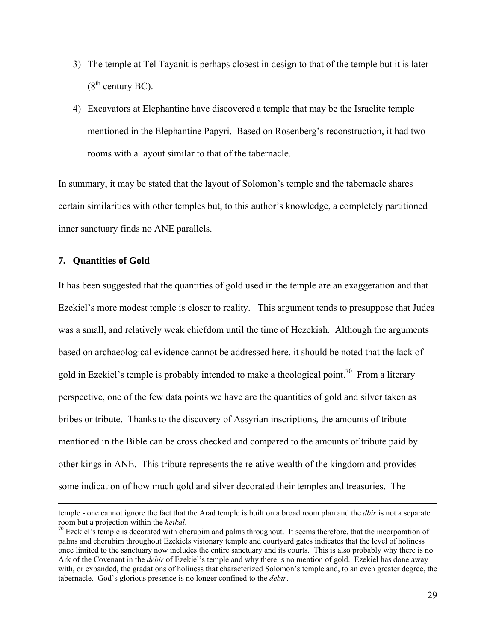- 3) The temple at Tel Tayanit is perhaps closest in design to that of the temple but it is later  $(8<sup>th</sup>$  century BC).
- 4) Excavators at Elephantine have discovered a temple that may be the Israelite temple mentioned in the Elephantine Papyri. Based on Rosenberg's reconstruction, it had two rooms with a layout similar to that of the tabernacle.

In summary, it may be stated that the layout of Solomon's temple and the tabernacle shares certain similarities with other temples but, to this author's knowledge, a completely partitioned inner sanctuary finds no ANE parallels.

### **7. Quantities of Gold**

It has been suggested that the quantities of gold used in the temple are an exaggeration and that Ezekiel's more modest temple is closer to reality. This argument tends to presuppose that Judea was a small, and relatively weak chiefdom until the time of Hezekiah. Although the arguments based on archaeological evidence cannot be addressed here, it should be noted that the lack of gold in Ezekiel's temple is probably intended to make a theological point.<sup>70</sup> From a literary perspective, one of the few data points we have are the quantities of gold and silver taken as bribes or tribute. Thanks to the discovery of Assyrian inscriptions, the amounts of tribute mentioned in the Bible can be cross checked and compared to the amounts of tribute paid by other kings in ANE. This tribute represents the relative wealth of the kingdom and provides some indication of how much gold and silver decorated their temples and treasuries. The

temple - one cannot ignore the fact that the Arad temple is built on a broad room plan and the *dbir* is not a separate room but a projection within the *heikal*.<br><sup>70</sup> Ezekiel's temple is decorated with cherubim and palms throughout. It seems therefore, that the incorporation of

palms and cherubim throughout Ezekiels visionary temple and courtyard gates indicates that the level of holiness once limited to the sanctuary now includes the entire sanctuary and its courts. This is also probably why there is no Ark of the Covenant in the *debir* of Ezekiel's temple and why there is no mention of gold. Ezekiel has done away with, or expanded, the gradations of holiness that characterized Solomon's temple and, to an even greater degree, the tabernacle. God's glorious presence is no longer confined to the *debir*.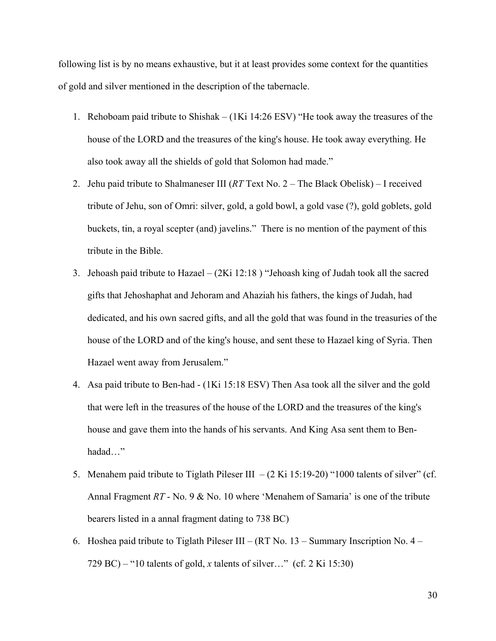following list is by no means exhaustive, but it at least provides some context for the quantities of gold and silver mentioned in the description of the tabernacle.

- 1. Rehoboam paid tribute to Shishak (1Ki 14:26 ESV) "He took away the treasures of the house of the LORD and the treasures of the king's house. He took away everything. He also took away all the shields of gold that Solomon had made."
- 2. Jehu paid tribute to Shalmaneser III (*RT* Text No. 2 The Black Obelisk) I received tribute of Jehu, son of Omri: silver, gold, a gold bowl, a gold vase (?), gold goblets, gold buckets, tin, a royal scepter (and) javelins." There is no mention of the payment of this tribute in the Bible.
- 3. Jehoash paid tribute to Hazael (2Ki 12:18 ) "Jehoash king of Judah took all the sacred gifts that Jehoshaphat and Jehoram and Ahaziah his fathers, the kings of Judah, had dedicated, and his own sacred gifts, and all the gold that was found in the treasuries of the house of the LORD and of the king's house, and sent these to Hazael king of Syria. Then Hazael went away from Jerusalem."
- 4. Asa paid tribute to Ben-had (1Ki 15:18 ESV) Then Asa took all the silver and the gold that were left in the treasures of the house of the LORD and the treasures of the king's house and gave them into the hands of his servants. And King Asa sent them to Benhadad…"
- 5. Menahem paid tribute to Tiglath Pileser III  $-(2 \text{ Ki } 15:19-20)$  "1000 talents of silver" (cf. Annal Fragment *RT* - No. 9 & No. 10 where 'Menahem of Samaria' is one of the tribute bearers listed in a annal fragment dating to 738 BC)
- 6. Hoshea paid tribute to Tiglath Pileser III (RT No. 13 Summary Inscription No. 4 729 BC) – "10 talents of gold, *x* talents of silver…" (cf. 2 Ki 15:30)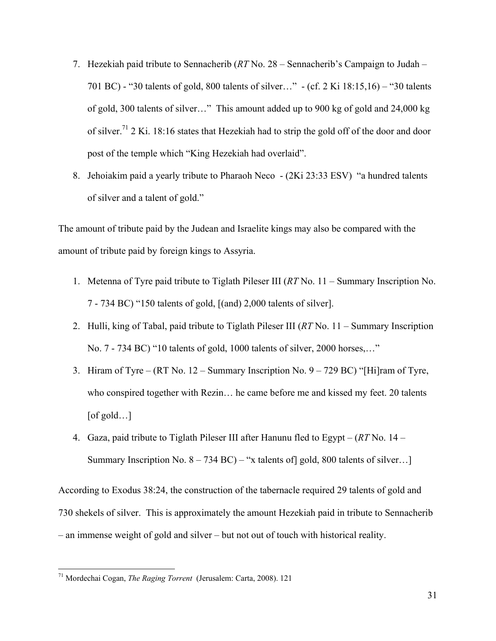- 7. Hezekiah paid tribute to Sennacherib (*RT* No. 28 Sennacherib's Campaign to Judah 701 BC) - "30 talents of gold, 800 talents of silver…" - (cf. 2 Ki 18:15,16) – "30 talents of gold, 300 talents of silver…" This amount added up to 900 kg of gold and 24,000 kg of silver.71 2 Ki. 18:16 states that Hezekiah had to strip the gold off of the door and door post of the temple which "King Hezekiah had overlaid".
- 8. Jehoiakim paid a yearly tribute to Pharaoh Neco (2Ki 23:33 ESV) "a hundred talents of silver and a talent of gold."

The amount of tribute paid by the Judean and Israelite kings may also be compared with the amount of tribute paid by foreign kings to Assyria.

- 1. Metenna of Tyre paid tribute to Tiglath Pileser III (*RT* No. 11 Summary Inscription No. 7 - 734 BC) "150 talents of gold, [(and) 2,000 talents of silver].
- 2. Hulli, king of Tabal, paid tribute to Tiglath Pileser III (*RT* No. 11 Summary Inscription No. 7 - 734 BC) "10 talents of gold, 1000 talents of silver, 2000 horses,…"
- 3. Hiram of Tyre (RT No. 12 Summary Inscription No. 9 729 BC) "[Hi]ram of Tyre, who conspired together with Rezin… he came before me and kissed my feet. 20 talents  $[of gold...]$
- 4. Gaza, paid tribute to Tiglath Pileser III after Hanunu fled to Egypt (*RT* No. 14 Summary Inscription No.  $8 - 734$  BC) – "x talents of gold, 800 talents of silver...]

According to Exodus 38:24, the construction of the tabernacle required 29 talents of gold and 730 shekels of silver. This is approximately the amount Hezekiah paid in tribute to Sennacherib – an immense weight of gold and silver – but not out of touch with historical reality.

<sup>71</sup> Mordechai Cogan, *The Raging Torrent* (Jerusalem: Carta, 2008). 121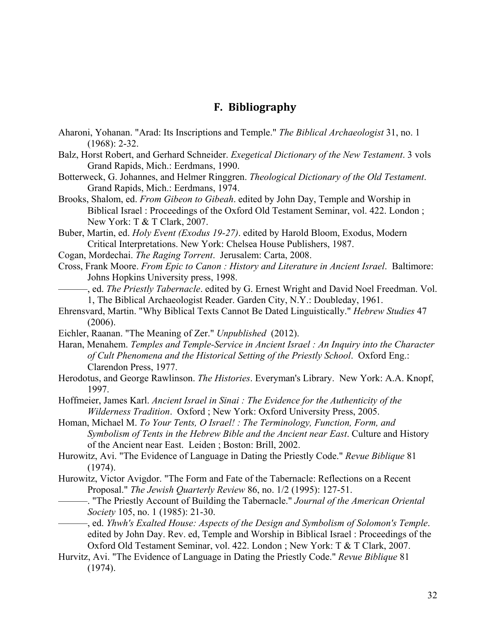# **F. Bibliography**

- Aharoni, Yohanan. "Arad: Its Inscriptions and Temple." *The Biblical Archaeologist* 31, no. 1 (1968): 2-32.
- Balz, Horst Robert, and Gerhard Schneider. *Exegetical Dictionary of the New Testament*. 3 vols Grand Rapids, Mich.: Eerdmans, 1990.
- Botterweck, G. Johannes, and Helmer Ringgren. *Theological Dictionary of the Old Testament*. Grand Rapids, Mich.: Eerdmans, 1974.
- Brooks, Shalom, ed. *From Gibeon to Gibeah*. edited by John Day, Temple and Worship in Biblical Israel : Proceedings of the Oxford Old Testament Seminar, vol. 422. London ; New York: T & T Clark, 2007.
- Buber, Martin, ed. *Holy Event (Exodus 19-27)*. edited by Harold Bloom, Exodus, Modern Critical Interpretations. New York: Chelsea House Publishers, 1987.
- Cogan, Mordechai. *The Raging Torrent*. Jerusalem: Carta, 2008.
- Cross, Frank Moore. *From Epic to Canon : History and Literature in Ancient Israel*. Baltimore: Johns Hopkins University press, 1998.
	- ———, ed. *The Priestly Tabernacle*. edited by G. Ernest Wright and David Noel Freedman. Vol. 1, The Biblical Archaeologist Reader. Garden City, N.Y.: Doubleday, 1961.
- Ehrensvard, Martin. "Why Biblical Texts Cannot Be Dated Linguistically." *Hebrew Studies* 47 (2006).
- Eichler, Raanan. "The Meaning of Zer." *Unpublished* (2012).
- Haran, Menahem. *Temples and Temple-Service in Ancient Israel : An Inquiry into the Character of Cult Phenomena and the Historical Setting of the Priestly School*. Oxford Eng.: Clarendon Press, 1977.
- Herodotus, and George Rawlinson. *The Histories*. Everyman's Library. New York: A.A. Knopf, 1997.
- Hoffmeier, James Karl. *Ancient Israel in Sinai : The Evidence for the Authenticity of the Wilderness Tradition*. Oxford ; New York: Oxford University Press, 2005.
- Homan, Michael M. *To Your Tents, O Israel! : The Terminology, Function, Form, and Symbolism of Tents in the Hebrew Bible and the Ancient near East*. Culture and History of the Ancient near East. Leiden ; Boston: Brill, 2002.
- Hurowitz, Avi. "The Evidence of Language in Dating the Priestly Code." *Revue Biblique* 81 (1974).
- Hurowitz, Victor Avigdor. "The Form and Fate of the Tabernacle: Reflections on a Recent Proposal." *The Jewish Quarterly Review* 86, no. 1/2 (1995): 127-51.
	- ———. "The Priestly Account of Building the Tabernacle." *Journal of the American Oriental Society* 105, no. 1 (1985): 21-30.
- ———, ed. *Yhwh's Exalted House: Aspects of the Design and Symbolism of Solomon's Temple*. edited by John Day. Rev. ed, Temple and Worship in Biblical Israel : Proceedings of the Oxford Old Testament Seminar, vol. 422. London ; New York: T & T Clark, 2007.
- Hurvitz, Avi. "The Evidence of Language in Dating the Priestly Code." *Revue Biblique* 81 (1974).